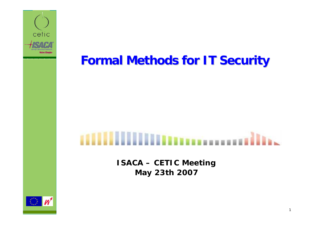

**Formal Methods for IT Security Formal Methods for IT Security**

# **Illians** and in the components of the second service

**ISACA – CETIC Meeting May 23th 2007**

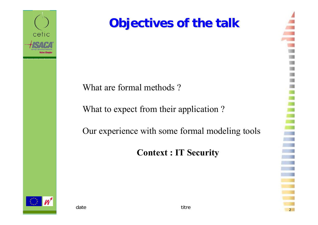

### **Objectives of the talk Objectives of the talk**

What are formal methods ?

What to expect from their application?

Our experience with some formal modeling tools

**Context : IT Security**

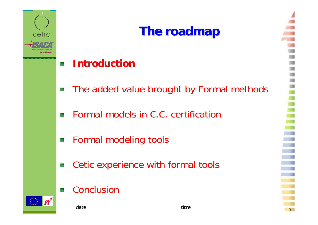

## **The roadmap The roadmap**

#### **Introduction**64

- The added value brought by Formal methods 燃
- Formal models in C.C. certification 鮷
- Formal modeling tools 鐬
- Cetic experience with formal tools 蒾
- Conclusion嶐



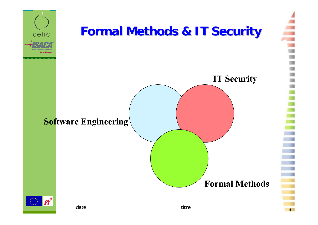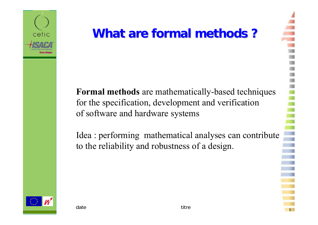

### **What are formal methods?**

**Formal methods** are mathematically-based techniques for the specification, development and verification of software and hardware systems

Idea : performing mathematical analyses can contribute to the reliability and robustness of a design.

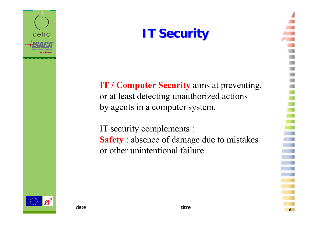

### **IT Security**

**IT / Computer Security** aims at preventing, or at least detecting unauthorized actions by agents in a computer system.

IT security complements : **Safety** : absence of damage due to mistakes or other unintentional failure

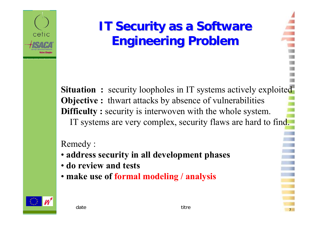

### **IT Security as a Software Engineering Problem Engineering Problem**

**Situation :** security loopholes in IT systems actively exploited **Objective**: thwart attacks by absence of vulnerabilities **Difficulty :** security is interwoven with the whole system. IT systems are very complex, security flaws are hard to find.

### Remedy :

- **address security in all development phases**
- **do review and tests**
- **make use of formal modeling / analysis**

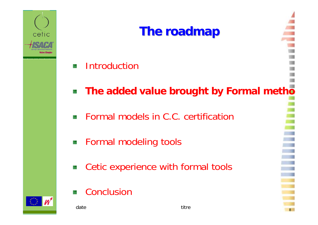

### **The roadmap The roadmap**

- Introduction懗
- **The added value brought by Formal metho** 鷷
- Formal models in C.C. certification€¥.
- **EXECUTE: INCREDIS** Formal modeling tools
- Cetic experience with formal tools 籔
- Conclusion毊

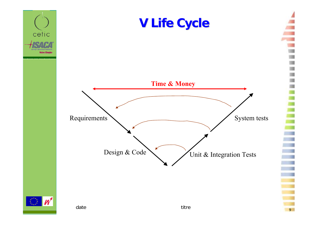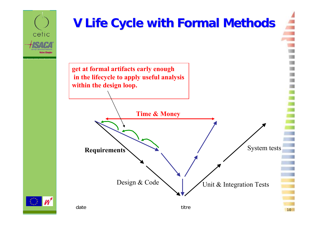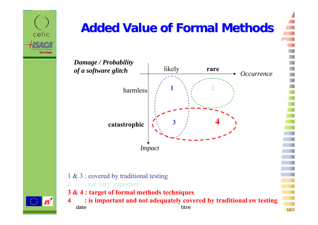

## **Added Value of Formal Methods Added Value of Formal Methods**

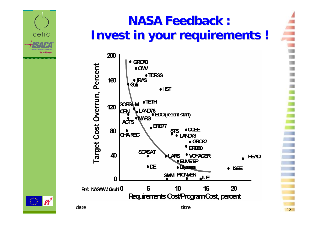

### **NASA Feedback : NASA Feedback :Invest in your requirements ! Invest in your requirements !**



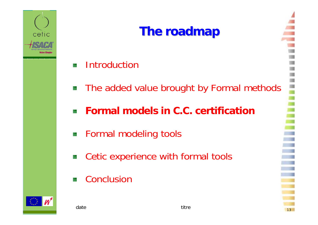

## **The roadmap The roadmap**

- Introduction88
- **The added value brought by Formal methods**
- **Formal models in C.C. certification**辛
- Formal modeling tools Ŝ.
- Cetic experience with formal tools 巌
- **Conclusion** 84

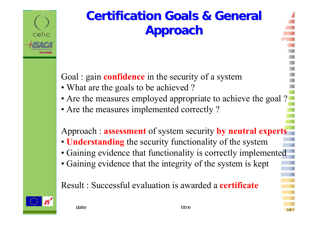

### **Certification Goals & General Approach Approach**

Goal : gain **confidence** in the security of a system

- What are the goals to be achieved ?
- Are the measures employed appropriate to achieve the goal?
- Are the measures implemented correctly?

Approach : **assessment** of system security **by neutral experts**

- **Understanding** the security functionality of the system
- Gaining evidence that functionality is correctly implemented
- Gaining evidence that the integrity of the system is kept

Result : Successful evaluation is awarded <sup>a</sup>**certificate**



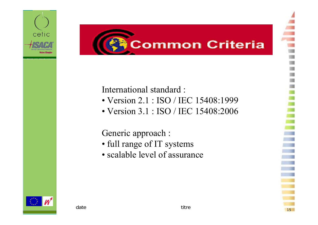



### International standard :

- Version 2.1 : ISO / IEC 15408:1999
- Version 3.1 : ISO / IEC 15408:2006

Generic approach :

- full range of IT systems
- scalable level of assurance

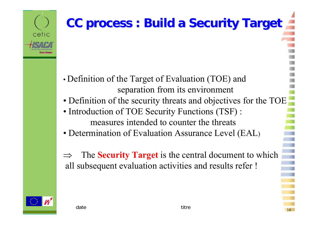# **CC process : Build a Security Target CC process : Build a Security Target**

- • Definition of the Target of Evaluation (TOE) and separation from its environment
- Definition of the security threats and objectives for the TOE
- Introduction of TOE Security Functions (TSF) : measures intended to counter the threats
- Determination of Evaluation Assurance Level (EAL )
- ⇒ The **Security Target** is the central document to which all subsequent evaluation activities and results refer !



cetic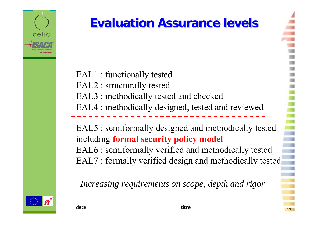

## **Evaluation Assurance levels Evaluation Assurance levels**

EAL1 : functionally tested EAL2 : structurally tested EAL3 : methodically tested and checked EAL4 : methodically designed, tested and reviewed

EAL5 : semiformally designed and methodically tested including **formal security policy model** EAL6 : semiformally verified and methodically tested EAL7 : formally verified design and methodically tested

*Increasing requirements on scope, depth and rigor*



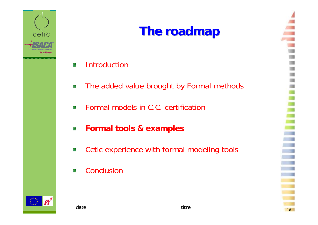

### **The roadmap The roadmap**

- **Introductior** N.
- The added value brought by Formal methods 族
- Formal models in C.C. certification 餯
- **Formal tools & examples** ķ.
- Cetic experience with formal modeling tools 蠤
- **Conclusion** 连



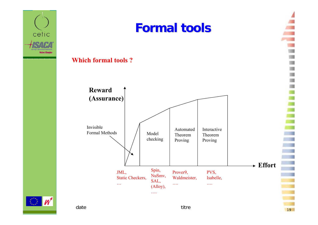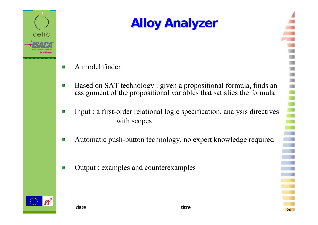

# **Alloy Analyzer Alloy Analyzer**

- A model finder 资
- Based on SAT technology : given a propositional formula, finds an 资 assignment of the propositional variables that satisfies the formula
- Input : a first-order relational logic specification, analysis directives e. with scopes
- Automatic push-button technology, no expert knowledge required 资
- Output : examples and counterexamplesŠ.



 $\sim$  20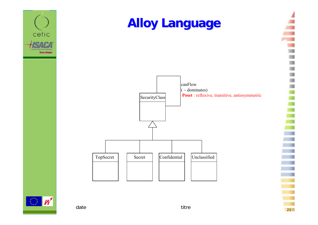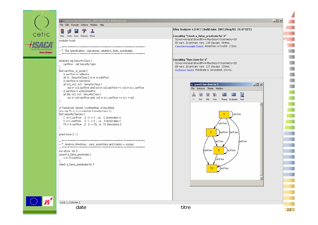



File Edit Execute Options Window Help





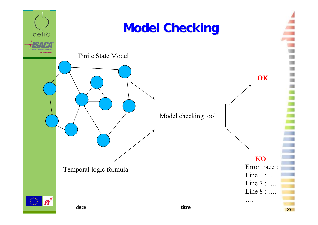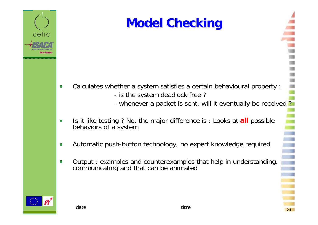

### **Model Checking Model Checking**

- Calculates whether a system satisfies a certain behavioural property : 嶐
	- is the system deadlock free ?
	- whenever a packet is sent, will it eventually be received ?
- Is it like testing ? No, the major difference is : Looks at **all** possible 嶐 behaviors of a system
- Automatic push-button technology, no expert knowledge required 连
- Output : examples and counterexamples that help in understanding, 族 communicating and that can be animated

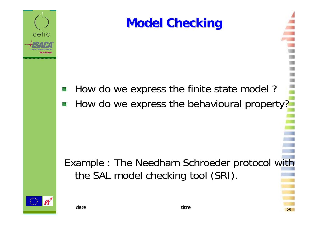

How do we express the finite state model ? 躨 How do we express the behavioural property? 巖

Example : The Needham Schroeder protocol with the SAL model checking tool (SRI).



cetic

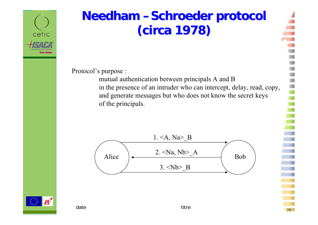

### **Needham –Schroeder protocol (circa 1978) (circa 1978)**

Protocol's purpose :

mutual authentication between principals A and B in the presence of an intruder who can intercept, delay, read, copy, and generate messages but who does not know the secret keys of the principals.



26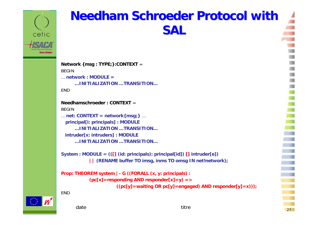

### **Needham Schroeder Protocol with SAL**

```
Network {msg : TYPE;}:CONTEXT =
BEGIN… network : MODULE =…INITIALIZATION …TRANSITION…ENDNeedhamschroeder : CONTEXT =BEGIN… net: CONTEXT = network{msg;}
…
 principal[i: principals] : MODULE
     …INITIALIZATION …TRANSITION…intruder[x: intruders] : MODULE 
     …INITIALIZATION …TRANSITION…
```
**System : MODULE = (([] (id: principals): principal[id]) [] intruder[e]) || (RENAME buffer TO imsg, inms TO omsg IN net!network);**

```
Prop: THEOREM system |- G ((FORALL (x, y: principals) :
           (pc[x]=responding AND responder[x]=y) =>
                      ((pc[y]=waiting OR pc[y]=engaged) AND responder[y]=x)));
```
**FND** 

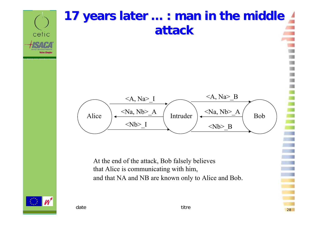

28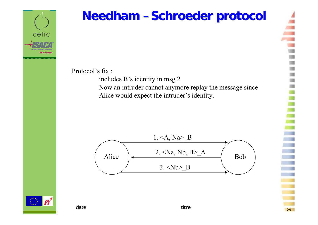

### **Needham –Schroeder protocol**

Protocol's fix :

includes B's identity in msg 2 Now an intruder cannot anymore replay the message since Alice would expec<sup>t</sup> the intruder's identity.



date titre

 $\sim$  29

29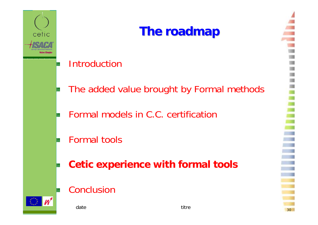

### **The roadmap The roadmap**

### Introduction

- The added value brought by Formal methods
- Formal models in C.C. certification
- Formal tools
- **Cetic experience with formal tools**
- Conclusion



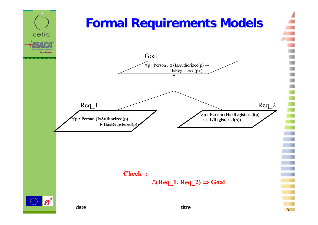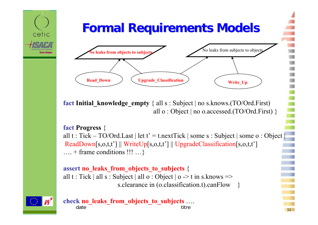# **Formal Requirements Models Formal Requirements Models**  cetic **Its axis from objects to subjects** *CRC CRC CRC CRC CRC CRC CRC CRC CRC CRC CRC CRC CRC CRC CRC CRC CRC CRC CRC CRC CRC CRC CRC* **Read\_Down Degrade\_Classification Write** Up

**fact Initial\_knowledge\_empty** { all s : Subject | no s.knows.(TO/Ord.First) all o : Object | no o.accessed.(TO/Ord.First) }

#### **fact Progress** {

all t : Tick – TO/Ord. Last | let  $t' = t$ . next Tick | some s : Subject | some o : Object | ReadDown[s,o,t,t'] || WriteUp[s,o,t,t'] || UpgradeClassification[s,o,t,t']  $\dots$  + frame conditions !!!  $\dots$ }

#### **assert no\_leaks\_from\_objects\_to\_subjects** { all t : Tick | all s : Subject | all o : Object |  $o \rightarrow t$  in s. knows => s.clearance in (o.classification.t).canFlow



date titre  $\sim$  32 **check no\_leaks\_from\_objects\_to\_subjects** ….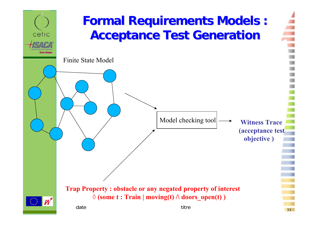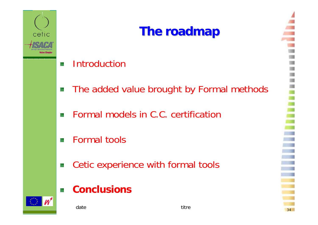

## **The roadmap The roadmap**

- **Introduction** 64
- The added value brought by Formal methods 鎙
- Formal models in C.C. certification 燃
- Formal tools曭
- Cetic experience with formal tools 薇

date titre

#### **Conclusions**磔



 $\sim$  34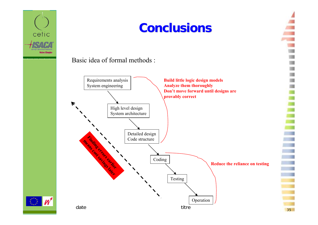

#### Basic idea of formal methods :



35

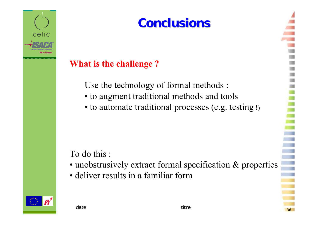

### **What is the challenge ?**

Use the technology of formal methods :

- to augment traditional methods and tools
- to automate traditional processes (e.g. testing !)

### To do this :

- unobstrusively extract formal specification & properties
- deliver results in a familiar form



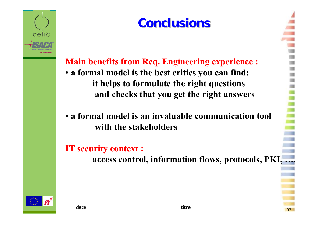

**Main benefits from Req. Engineering experience :** • **a formal model is the best critics you can find: it helps to formulate the right questions and checks that you get the right answers**

### • **a formal model is an invaluable communication tool with the stakeholders**

**IT security context :**

**access control, information flows, protocols, PKI, ….**

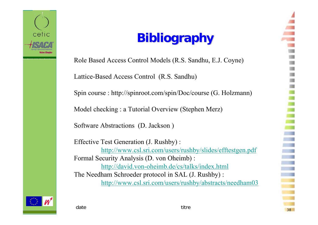

## **Bibliography Bibliography**

Role Based Access Control Models (R.S. Sandhu, E.J. Coyne) Lattice-Based Access Control (R.S. Sandhu) Spin course : http://spinroot.com/spin/Doc/course (G. Holzmann) Model checking : a Tutorial Overview (Stephen Merz)

Software Abstractions (D. Jackson )

Effective Test Generation (J. Rushby) : http://www.csl.sri.com/users/rushby/slides/efftestgen.pdf Formal Security Analysis (D. von Oheimb) : http://david.von-oheimb.de/cs/talks/index.html The Needham Schroeder protocol in SAL (J. Rushby) : http://www.csl.sri.com/users/rushby/abstracts/needham03



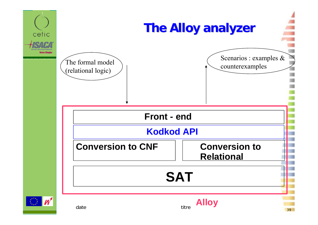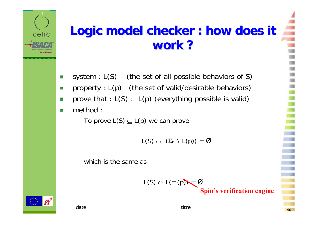### **Logic model checker : how does it work ?**

- system :  $L(S)$  (the set of all possible behaviors of S) 族
- property : L(p) (the set of valid/desirable behaviors) 钱
- prove that : L(S)  $\subseteq$  L(p) (everything possible is valid) S.
- method : у.

cetic

To prove L(S)  $\subseteq$  L(p) we can prove

 $\mathsf{L}(\mathsf{S}) \cap \ \left(\Sigma_\omega \setminus \mathsf{L}(\mathsf{p})\right) = \mathcal{Q}$ 

which is the same as

$$
L(S) \cap L(\neg (p)) = \emptyset
$$

**Spin's verification engine**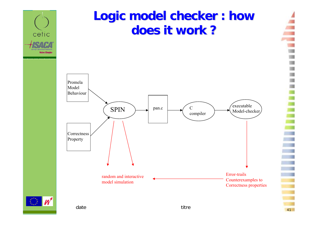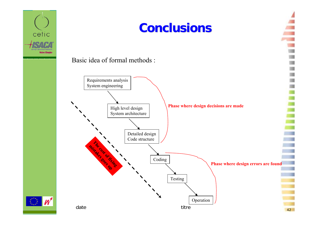

Basic idea of formal methods :



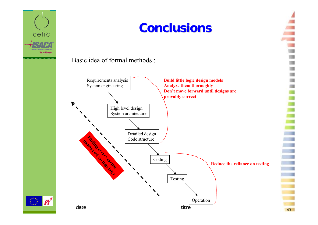

#### Basic idea of formal methods :





43